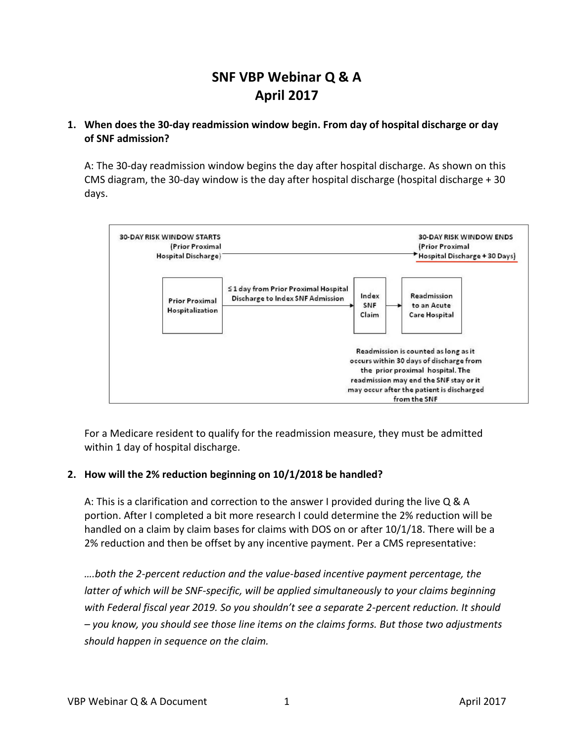# **SNF VBP Webinar Q & A April 2017**

## **1. When does the 30-day readmission window begin. From day of hospital discharge or day of SNF admission?**

A: The 30-day readmission window begins the day after hospital discharge. As shown on this CMS diagram, the 30-day window is the day after hospital discharge (hospital discharge + 30 days.



For a Medicare resident to qualify for the readmission measure, they must be admitted within 1 day of hospital discharge.

## **2. How will the 2% reduction beginning on 10/1/2018 be handled?**

A: This is a clarification and correction to the answer I provided during the live Q & A portion. After I completed a bit more research I could determine the 2% reduction will be handled on a claim by claim bases for claims with DOS on or after 10/1/18. There will be a 2% reduction and then be offset by any incentive payment. Per a CMS representative:

*….both the 2-percent reduction and the value-based incentive payment percentage, the latter of which will be SNF-specific, will be applied simultaneously to your claims beginning with Federal fiscal year 2019. So you shouldn't see a separate 2-percent reduction. It should – you know, you should see those line items on the claims forms. But those two adjustments should happen in sequence on the claim.*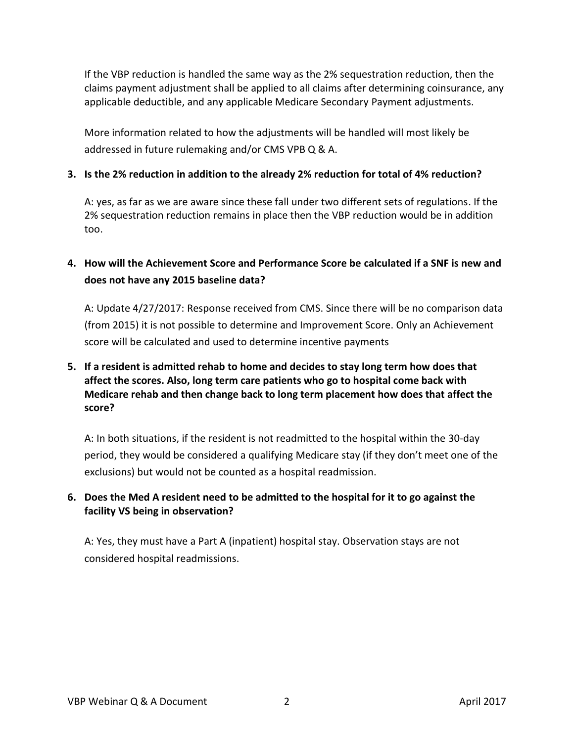If the VBP reduction is handled the same way as the 2% sequestration reduction, then the claims payment adjustment shall be applied to all claims after determining coinsurance, any applicable deductible, and any applicable Medicare Secondary Payment adjustments.

More information related to how the adjustments will be handled will most likely be addressed in future rulemaking and/or CMS VPB Q & A.

## **3. Is the 2% reduction in addition to the already 2% reduction for total of 4% reduction?**

A: yes, as far as we are aware since these fall under two different sets of regulations. If the 2% sequestration reduction remains in place then the VBP reduction would be in addition too.

## **4. How will the Achievement Score and Performance Score be calculated if a SNF is new and does not have any 2015 baseline data?**

A: Update 4/27/2017: Response received from CMS. Since there will be no comparison data (from 2015) it is not possible to determine and Improvement Score. Only an Achievement score will be calculated and used to determine incentive payments

## **5. If a resident is admitted rehab to home and decides to stay long term how does that affect the scores. Also, long term care patients who go to hospital come back with Medicare rehab and then change back to long term placement how does that affect the score?**

A: In both situations, if the resident is not readmitted to the hospital within the 30-day period, they would be considered a qualifying Medicare stay (if they don't meet one of the exclusions) but would not be counted as a hospital readmission.

## **6. Does the Med A resident need to be admitted to the hospital for it to go against the facility VS being in observation?**

A: Yes, they must have a Part A (inpatient) hospital stay. Observation stays are not considered hospital readmissions.